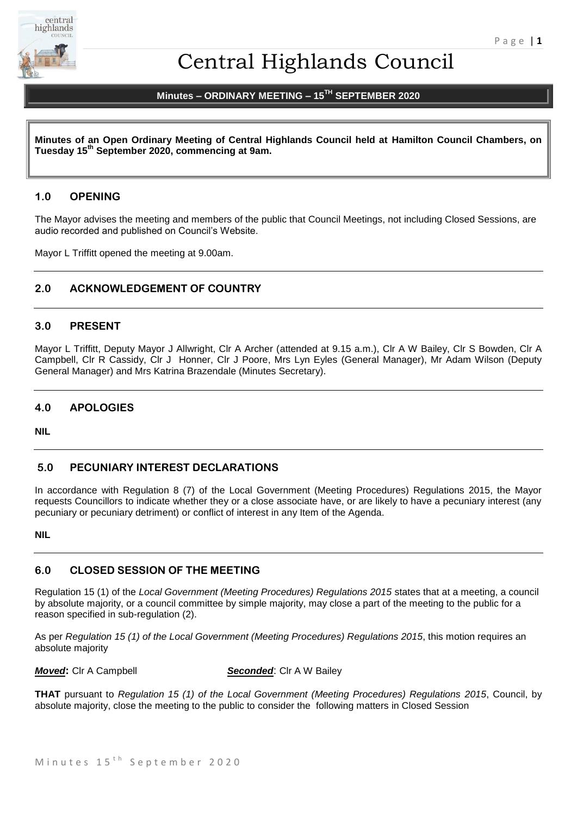

# Central Highlands Council

# **Minutes – ORDINARY MEETING – 15 TH SEPTEMBER 2020**

**Minutes of an Open Ordinary Meeting of Central Highlands Council held at Hamilton Council Chambers, on Tuesday 15th September 2020, commencing at 9am.**

#### **1.0 OPENING**

The Mayor advises the meeting and members of the public that Council Meetings, not including Closed Sessions, are audio recorded and published on Council's Website.

Mayor L Triffitt opened the meeting at 9.00am.

### **2.0 ACKNOWLEDGEMENT OF COUNTRY**

#### **3.0 PRESENT**

Mayor L Triffitt, Deputy Mayor J Allwright, Clr A Archer (attended at 9.15 a.m.), Clr A W Bailey, Clr S Bowden, Clr A Campbell, Clr R Cassidy, Clr J Honner, Clr J Poore, Mrs Lyn Eyles (General Manager), Mr Adam Wilson (Deputy General Manager) and Mrs Katrina Brazendale (Minutes Secretary).

#### **4.0 APOLOGIES**

**NIL** 

#### **5.0 PECUNIARY INTEREST DECLARATIONS**

In accordance with Regulation 8 (7) of the Local Government (Meeting Procedures) Regulations 2015, the Mayor requests Councillors to indicate whether they or a close associate have, or are likely to have a pecuniary interest (any pecuniary or pecuniary detriment) or conflict of interest in any Item of the Agenda.

#### **NIL**

### **6.0 CLOSED SESSION OF THE MEETING**

Regulation 15 (1) of the *Local Government (Meeting Procedures) Regulations 2015* states that at a meeting, a council by absolute majority, or a council committee by simple majority, may close a part of the meeting to the public for a reason specified in sub-regulation (2).

As per *Regulation 15 (1) of the Local Government (Meeting Procedures) Regulations 2015*, this motion requires an absolute majority

*Moved***:** Clr A Campbell *Seconded*: Clr A W Bailey

**THAT** pursuant to *Regulation 15 (1) of the Local Government (Meeting Procedures) Regulations 2015*, Council, by absolute majority, close the meeting to the public to consider the following matters in Closed Session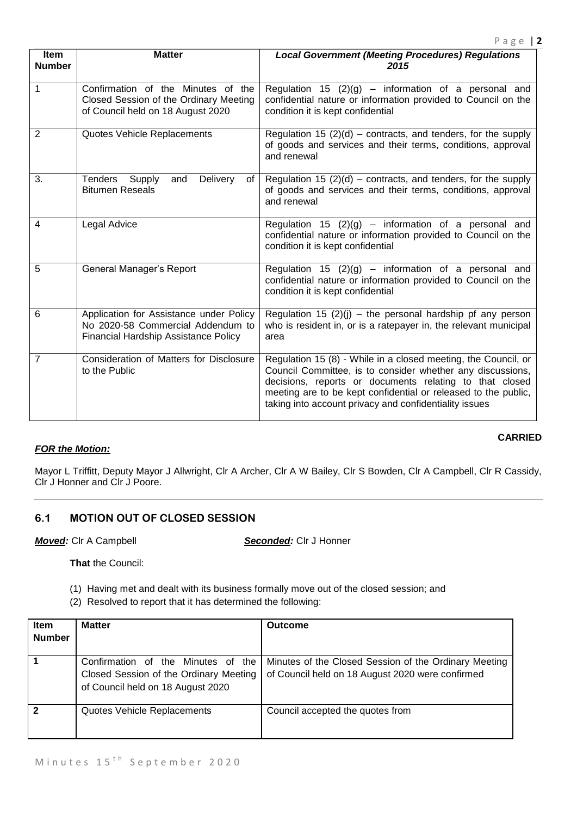| Item<br><b>Number</b> | <b>Matter</b>                                                                                                               | <b>Local Government (Meeting Procedures) Regulations</b><br>2015                                                                                                                                                                                                                                                    |
|-----------------------|-----------------------------------------------------------------------------------------------------------------------------|---------------------------------------------------------------------------------------------------------------------------------------------------------------------------------------------------------------------------------------------------------------------------------------------------------------------|
| 1                     | Confirmation of the Minutes of the<br>Closed Session of the Ordinary Meeting<br>of Council held on 18 August 2020           | Regulation 15 $(2)(g)$ – information of a personal and<br>confidential nature or information provided to Council on the<br>condition it is kept confidential                                                                                                                                                        |
| $\overline{2}$        | Quotes Vehicle Replacements                                                                                                 | Regulation 15 $(2)(d)$ – contracts, and tenders, for the supply<br>of goods and services and their terms, conditions, approval<br>and renewal                                                                                                                                                                       |
| 3.                    | Tenders Supply<br><b>Delivery</b><br>and<br>of<br><b>Bitumen Reseals</b>                                                    | Regulation 15 $(2)(d)$ – contracts, and tenders, for the supply<br>of goods and services and their terms, conditions, approval<br>and renewal                                                                                                                                                                       |
| 4                     | Legal Advice                                                                                                                | Regulation 15 $(2)(g)$ – information of a personal and<br>confidential nature or information provided to Council on the<br>condition it is kept confidential                                                                                                                                                        |
| 5                     | General Manager's Report                                                                                                    | Regulation 15 $(2)(g)$ – information of a personal and<br>confidential nature or information provided to Council on the<br>condition it is kept confidential                                                                                                                                                        |
| 6                     | Application for Assistance under Policy<br>No 2020-58 Commercial Addendum to<br><b>Financial Hardship Assistance Policy</b> | Regulation 15 $(2)(i)$ – the personal hardship pf any person<br>who is resident in, or is a ratepayer in, the relevant municipal<br>area                                                                                                                                                                            |
| 7                     | Consideration of Matters for Disclosure<br>to the Public                                                                    | Regulation 15 (8) - While in a closed meeting, the Council, or<br>Council Committee, is to consider whether any discussions,<br>decisions, reports or documents relating to that closed<br>meeting are to be kept confidential or released to the public,<br>taking into account privacy and confidentiality issues |

#### *FOR the Motion:*

#### **CARRIED**

Mayor L Triffitt, Deputy Mayor J Allwright, Clr A Archer, Clr A W Bailey, Clr S Bowden, Clr A Campbell, Clr R Cassidy, Clr J Honner and Clr J Poore.

#### **6.1 MOTION OUT OF CLOSED SESSION**

*Moved:* Clr A Campbell *Seconded:* Clr J Honner

**That** the Council:

(1) Having met and dealt with its business formally move out of the closed session; and

(2) Resolved to report that it has determined the following:

| <b>Item</b>   | <b>Matter</b>                                                                                                     | <b>Outcome</b>                                                                                            |
|---------------|-------------------------------------------------------------------------------------------------------------------|-----------------------------------------------------------------------------------------------------------|
| <b>Number</b> |                                                                                                                   |                                                                                                           |
|               | Confirmation of the Minutes of the<br>Closed Session of the Ordinary Meeting<br>of Council held on 18 August 2020 | Minutes of the Closed Session of the Ordinary Meeting<br>of Council held on 18 August 2020 were confirmed |
|               | Quotes Vehicle Replacements                                                                                       | Council accepted the quotes from                                                                          |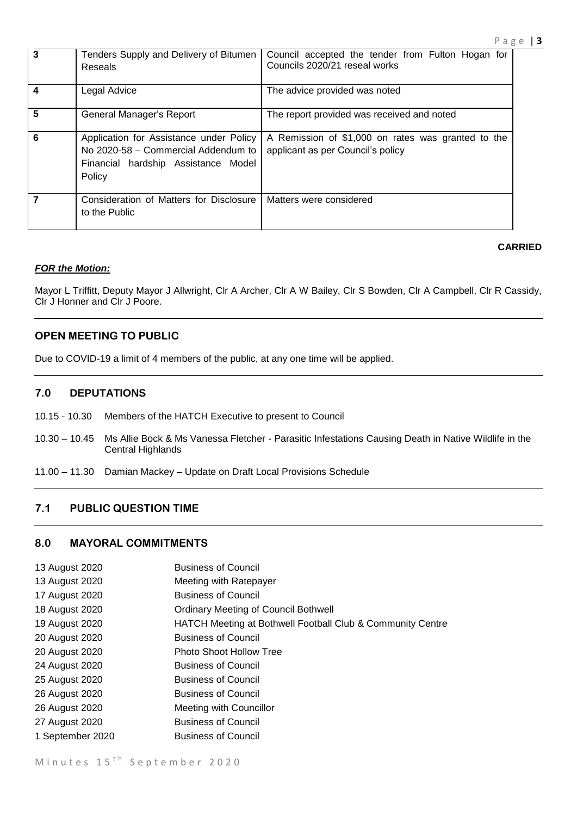| $\mathbf{3}$   | Tenders Supply and Delivery of Bitumen<br>Reseals                                                                               | Council accepted the tender from Fulton Hogan for<br>Councils 2020/21 reseal works      |
|----------------|---------------------------------------------------------------------------------------------------------------------------------|-----------------------------------------------------------------------------------------|
| $\overline{4}$ | Legal Advice                                                                                                                    | The advice provided was noted                                                           |
| 5              | General Manager's Report                                                                                                        | The report provided was received and noted                                              |
| 6              | Application for Assistance under Policy<br>No 2020-58 - Commercial Addendum to<br>Financial hardship Assistance Model<br>Policy | A Remission of \$1,000 on rates was granted to the<br>applicant as per Council's policy |
| $\overline{7}$ | Consideration of Matters for Disclosure<br>to the Public                                                                        | Matters were considered                                                                 |

#### *FOR the Motion:*

Mayor L Triffitt, Deputy Mayor J Allwright, Clr A Archer, Clr A W Bailey, Clr S Bowden, Clr A Campbell, Clr R Cassidy, Clr J Honner and Clr J Poore.

#### **OPEN MEETING TO PUBLIC**

Due to COVID-19 a limit of 4 members of the public, at any one time will be applied.

#### **7.0 DEPUTATIONS**

- 10.15 10.30 Members of the HATCH Executive to present to Council
- 10.30 10.45 Ms Allie Bock & Ms Vanessa Fletcher Parasitic Infestations Causing Death in Native Wildlife in the Central Highlands
- 11.00 11.30 Damian Mackey Update on Draft Local Provisions Schedule

#### **7.1 PUBLIC QUESTION TIME**

#### **8.0 MAYORAL COMMITMENTS**

- 13 August 2020 **Business of Council**
- 13 August 2020 Meeting with Ratepayer
- 17 August 2020 Business of Council
- 18 August 2020 Ordinary Meeting of Council Bothwell
- 19 August 2020 HATCH Meeting at Bothwell Football Club & Community Centre
- 20 August 2020 Business of Council
- 20 August 2020 Photo Shoot Hollow Tree
- 24 August 2020 Business of Council
- 25 August 2020 Business of Council
- 26 August 2020 Business of Council
- 26 August 2020 Meeting with Councillor
- 27 August 2020 Business of Council
- 1 September 2020 Business of Council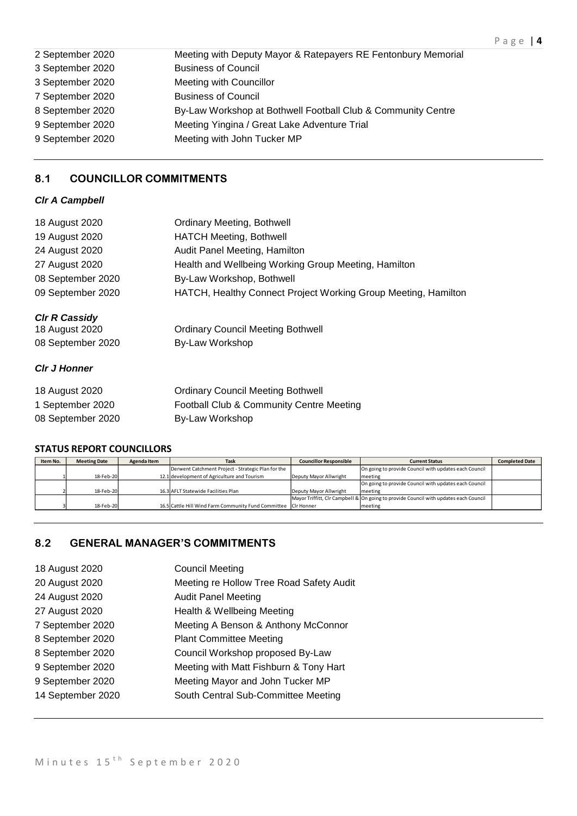| 2 September 2020 | Meeting with Deputy Mayor & Ratepayers RE Fentonbury Memorial |
|------------------|---------------------------------------------------------------|
| 3 September 2020 | <b>Business of Council</b>                                    |
| 3 September 2020 | Meeting with Councillor                                       |
| 7 September 2020 | <b>Business of Council</b>                                    |
| 8 September 2020 | By-Law Workshop at Bothwell Football Club & Community Centre  |
| 9 September 2020 | Meeting Yingina / Great Lake Adventure Trial                  |
| 9 September 2020 | Meeting with John Tucker MP                                   |
|                  |                                                               |

# **8.1 COUNCILLOR COMMITMENTS**

### *Clr A Campbell*

| <b>Ordinary Meeting, Bothwell</b>                              |
|----------------------------------------------------------------|
| <b>HATCH Meeting, Bothwell</b>                                 |
| Audit Panel Meeting, Hamilton                                  |
| Health and Wellbeing Working Group Meeting, Hamilton           |
| By-Law Workshop, Bothwell                                      |
| HATCH, Healthy Connect Project Working Group Meeting, Hamilton |
|                                                                |
| <b>Ordinary Council Meeting Bothwell</b>                       |
| By-Law Workshop                                                |
|                                                                |
| <b>Ordinary Council Meeting Bothwell</b>                       |
| Football Club & Community Centre Meeting                       |
| By-Law Workshop                                                |
|                                                                |

#### **STATUS REPORT COUNCILLORS**

| Item No. | <b>Meeting Date</b> | Agenda Item | Task                                                           | <b>Councillor Responsible</b> | <b>Current Status</b>                                                                | <b>Completed Date</b> |
|----------|---------------------|-------------|----------------------------------------------------------------|-------------------------------|--------------------------------------------------------------------------------------|-----------------------|
|          |                     |             | Derwent Catchment Project - Strategic Plan for the             |                               | On going to provide Council with updates each Council                                |                       |
|          | 18-Feb-20           |             | 12.1 development of Agriculture and Tourism                    | Deputy Mayor Allwright        | meeting                                                                              |                       |
|          |                     |             |                                                                |                               | On going to provide Council with updates each Council                                |                       |
|          | 18-Feb-20           |             | 16.3 AFLT Statewide Facilities Plan                            | Deputy Mayor Allwright        | meeting                                                                              |                       |
|          |                     |             |                                                                |                               | Mayor Triffitt, CIr Campbell & On going to provide Council with updates each Council |                       |
|          | 18-Feb-20           |             | 16.5 Cattle Hill Wind Farm Community Fund Committee CIr Honner |                               | meeting                                                                              |                       |

# **8.2 GENERAL MANAGER'S COMMITMENTS**

| 18 August 2020    | <b>Council Meeting</b>                   |
|-------------------|------------------------------------------|
| 20 August 2020    | Meeting re Hollow Tree Road Safety Audit |
| 24 August 2020    | <b>Audit Panel Meeting</b>               |
| 27 August 2020    | Health & Wellbeing Meeting               |
| 7 September 2020  | Meeting A Benson & Anthony McConnor      |
| 8 September 2020  | <b>Plant Committee Meeting</b>           |
| 8 September 2020  | Council Workshop proposed By-Law         |
| 9 September 2020  | Meeting with Matt Fishburn & Tony Hart   |
| 9 September 2020  | Meeting Mayor and John Tucker MP         |
| 14 September 2020 | South Central Sub-Committee Meeting      |
|                   |                                          |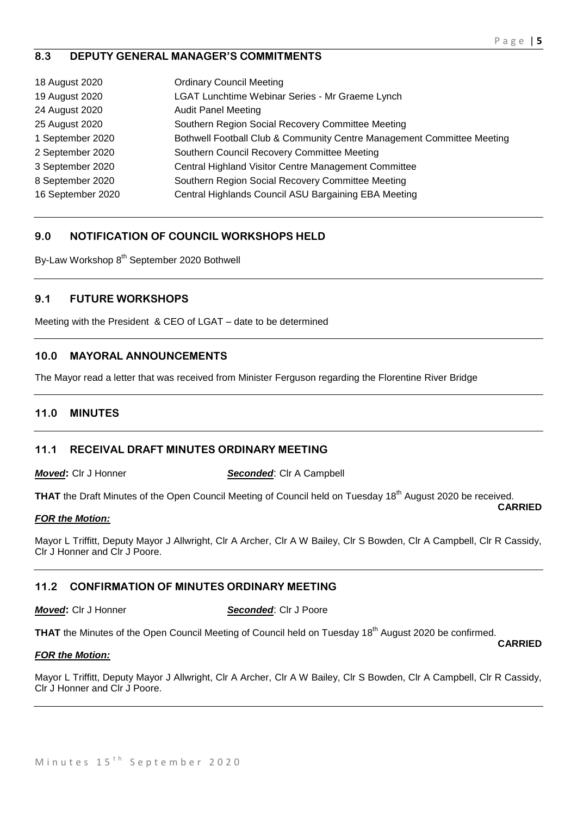### **8.3 DEPUTY GENERAL MANAGER'S COMMITMENTS**

| 18 August 2020    | <b>Ordinary Council Meeting</b>                                        |
|-------------------|------------------------------------------------------------------------|
| 19 August 2020    | LGAT Lunchtime Webinar Series - Mr Graeme Lynch                        |
| 24 August 2020    | <b>Audit Panel Meeting</b>                                             |
| 25 August 2020    | Southern Region Social Recovery Committee Meeting                      |
| 1 September 2020  | Bothwell Football Club & Community Centre Management Committee Meeting |
| 2 September 2020  | Southern Council Recovery Committee Meeting                            |
| 3 September 2020  | Central Highland Visitor Centre Management Committee                   |
| 8 September 2020  | Southern Region Social Recovery Committee Meeting                      |
| 16 September 2020 | Central Highlands Council ASU Bargaining EBA Meeting                   |

# **9.0 NOTIFICATION OF COUNCIL WORKSHOPS HELD**

By-Law Workshop 8<sup>th</sup> September 2020 Bothwell

#### **9.1 FUTURE WORKSHOPS**

Meeting with the President & CEO of LGAT – date to be determined

### **10.0 MAYORAL ANNOUNCEMENTS**

The Mayor read a letter that was received from Minister Ferguson regarding the Florentine River Bridge

#### **11.0 MINUTES**

#### **11.1 RECEIVAL DRAFT MINUTES ORDINARY MEETING**

*Moved***:** Clr J Honner *Seconded*: Clr A Campbell

**THAT** the Draft Minutes of the Open Council Meeting of Council held on Tuesday 18<sup>th</sup> August 2020 be received. **CARRIED**

#### *FOR the Motion:*

Mayor L Triffitt, Deputy Mayor J Allwright, Clr A Archer, Clr A W Bailey, Clr S Bowden, Clr A Campbell, Clr R Cassidy, Clr J Honner and Clr J Poore.

#### **11.2 CONFIRMATION OF MINUTES ORDINARY MEETING**

*Moved***:** Clr J Honner *Seconded*: Clr J Poore

**THAT** the Minutes of the Open Council Meeting of Council held on Tuesday 18<sup>th</sup> August 2020 be confirmed.

#### *FOR the Motion:*

Mayor L Triffitt, Deputy Mayor J Allwright, Clr A Archer, Clr A W Bailey, Clr S Bowden, Clr A Campbell, Clr R Cassidy, Clr J Honner and Clr J Poore.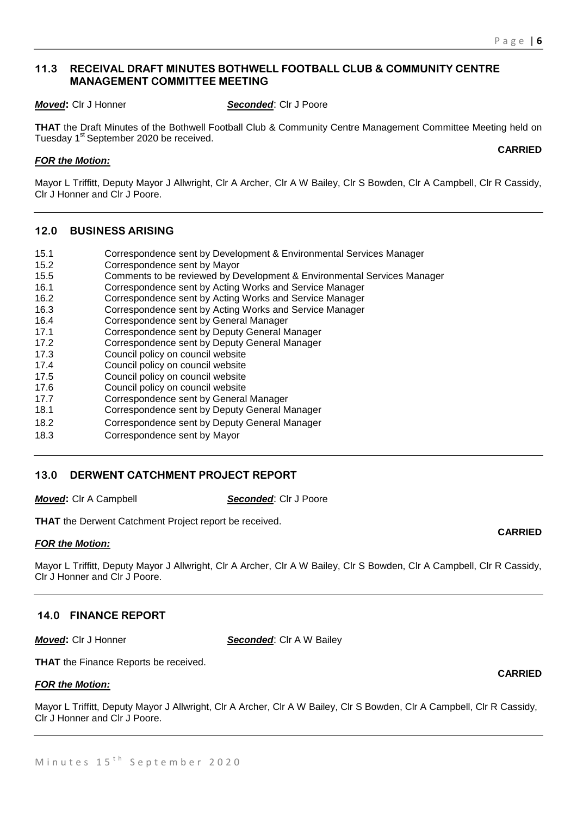### **11.3 RECEIVAL DRAFT MINUTES BOTHWELL FOOTBALL CLUB & COMMUNITY CENTRE MANAGEMENT COMMITTEE MEETING**

*Moved***:** Clr J Honner *Seconded*: Clr J Poore

**THAT** the Draft Minutes of the Bothwell Football Club & Community Centre Management Committee Meeting held on Tuesday 1<sup>st</sup> September 2020 be received.

#### *FOR the Motion:*

Mayor L Triffitt, Deputy Mayor J Allwright, Clr A Archer, Clr A W Bailey, Clr S Bowden, Clr A Campbell, Clr R Cassidy, Clr J Honner and Clr J Poore.

#### **12.0 BUSINESS ARISING**

- 15.1 Correspondence sent by Development & Environmental Services Manager
- 15.2 Correspondence sent by Mayor
- 15.5 Comments to be reviewed by Development & Environmental Services Manager
- 16.1 Correspondence sent by Acting Works and Service Manager
- 16.2 Correspondence sent by Acting Works and Service Manager
- 16.3 Correspondence sent by Acting Works and Service Manager
- 16.4 Correspondence sent by General Manager
- 17.1 Correspondence sent by Deputy General Manager
- 17.2 Correspondence sent by Deputy General Manager
- 17.3 Council policy on council website
- 17.4 Council policy on council website
- 17.5 Council policy on council website
- 17.6 Council policy on council website
- 17.7 Correspondence sent by General Manager
- 18.1 Correspondence sent by Deputy General Manager
- 18.2 Correspondence sent by Deputy General Manager
- 18.3 Correspondence sent by Mayor

#### **13.0 DERWENT CATCHMENT PROJECT REPORT**

*Moved***:** Clr A Campbell *Seconded*: Clr J Poore

**THAT** the Derwent Catchment Project report be received.

#### *FOR the Motion:*

Mayor L Triffitt, Deputy Mayor J Allwright, Clr A Archer, Clr A W Bailey, Clr S Bowden, Clr A Campbell, Clr R Cassidy, Clr J Honner and Clr J Poore.

#### **14.0 FINANCE REPORT**

*Moved***:** Cir J Honner **Seconded**: Cir A W Bailey

**THAT** the Finance Reports be received.

#### *FOR the Motion:*

Mayor L Triffitt, Deputy Mayor J Allwright, Clr A Archer, Clr A W Bailey, Clr S Bowden, Clr A Campbell, Clr R Cassidy, Clr J Honner and Clr J Poore.

# **CARRIED**

**CARRIED**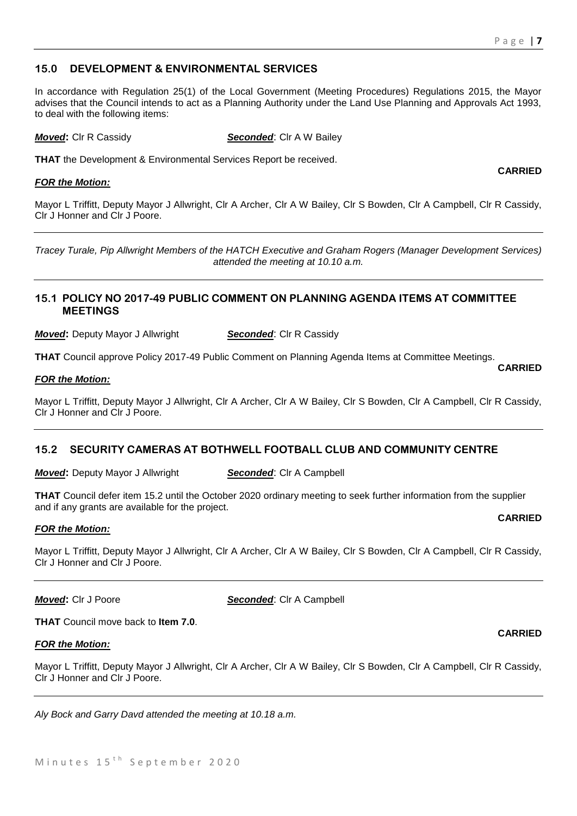### **15.0 DEVELOPMENT & ENVIRONMENTAL SERVICES**

In accordance with Regulation 25(1) of the Local Government (Meeting Procedures) Regulations 2015, the Mayor advises that the Council intends to act as a Planning Authority under the Land Use Planning and Approvals Act 1993, to deal with the following items:

*Moved***:** Clr R Cassidy **Seconded**: Clr A W Bailey

**THAT** the Development & Environmental Services Report be received.

#### *FOR the Motion:*

**CARRIED**

**CARRIED**

Mayor L Triffitt, Deputy Mayor J Allwright, Clr A Archer, Clr A W Bailey, Clr S Bowden, Clr A Campbell, Clr R Cassidy, Clr J Honner and Clr J Poore.

*Tracey Turale, Pip Allwright Members of the HATCH Executive and Graham Rogers (Manager Development Services) attended the meeting at 10.10 a.m.*

#### **15.1 POLICY NO 2017-49 PUBLIC COMMENT ON PLANNING AGENDA ITEMS AT COMMITTEE MEETINGS**

*Moved:* Deputy Mayor J Allwright **Seconded:** Clr R Cassidy

**THAT** Council approve Policy 2017-49 Public Comment on Planning Agenda Items at Committee Meetings.

#### *FOR the Motion:*

Mayor L Triffitt, Deputy Mayor J Allwright, Clr A Archer, Clr A W Bailey, Clr S Bowden, Clr A Campbell, Clr R Cassidy, Clr J Honner and Clr J Poore.

#### **15.2 SECURITY CAMERAS AT BOTHWELL FOOTBALL CLUB AND COMMUNITY CENTRE**

*Moved:* Deputy Mayor J Allwright **Seconded:** Clr A Campbell

**THAT** Council defer item 15.2 until the October 2020 ordinary meeting to seek further information from the supplier and if any grants are available for the project. **CARRIED**

#### *FOR the Motion:*

Mayor L Triffitt, Deputy Mayor J Allwright, Clr A Archer, Clr A W Bailey, Clr S Bowden, Clr A Campbell, Clr R Cassidy, Clr J Honner and Clr J Poore.

*Moved***:** Clr J Poore *Seconded*: Clr A Campbell

**THAT** Council move back to **Item 7.0**.

#### *FOR the Motion:*

Mayor L Triffitt, Deputy Mayor J Allwright, Clr A Archer, Clr A W Bailey, Clr S Bowden, Clr A Campbell, Clr R Cassidy, Clr J Honner and Clr J Poore.

*Aly Bock and Garry Davd attended the meeting at 10.18 a.m.*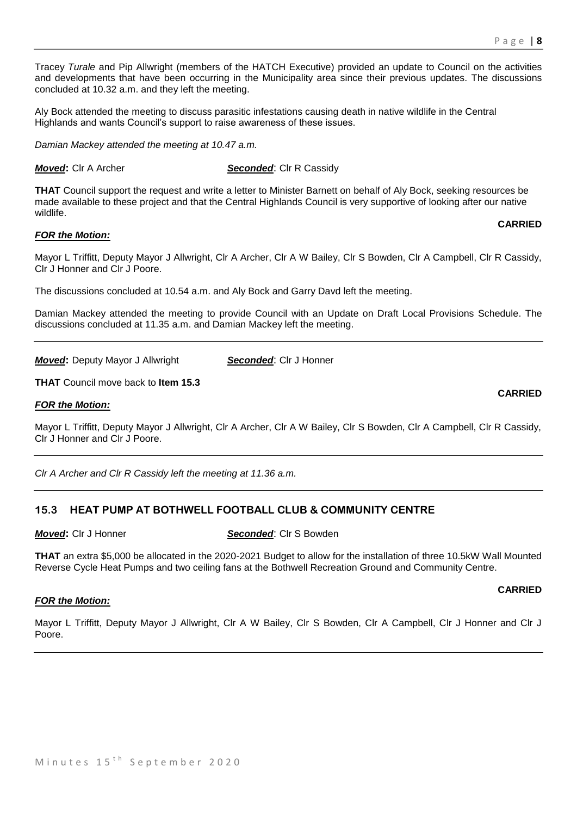Tracey *Turale* and Pip Allwright (members of the HATCH Executive) provided an update to Council on the activities and developments that have been occurring in the Municipality area since their previous updates. The discussions concluded at 10.32 a.m. and they left the meeting.

Aly Bock attended the meeting to discuss parasitic infestations causing death in native wildlife in the Central Highlands and wants Council's support to raise awareness of these issues.

*Damian Mackey attended the meeting at 10.47 a.m.*

*Moved***:** Cir A Archer *Seconded***: Cir R Cassidy** 

**THAT** Council support the request and write a letter to Minister Barnett on behalf of Aly Bock, seeking resources be made available to these project and that the Central Highlands Council is very supportive of looking after our native wildlife.

#### *FOR the Motion:*

Mayor L Triffitt, Deputy Mayor J Allwright, Clr A Archer, Clr A W Bailey, Clr S Bowden, Clr A Campbell, Clr R Cassidy, Clr J Honner and Clr J Poore.

The discussions concluded at 10.54 a.m. and Aly Bock and Garry Davd left the meeting.

Damian Mackey attended the meeting to provide Council with an Update on Draft Local Provisions Schedule. The discussions concluded at 11.35 a.m. and Damian Mackey left the meeting.

*Moved:* Deputy Mayor J Allwright **Seconded:** Clr J Honner

**THAT** Council move back to **Item 15.3**

#### *FOR the Motion:*

Mayor L Triffitt, Deputy Mayor J Allwright, Clr A Archer, Clr A W Bailey, Clr S Bowden, Clr A Campbell, Clr R Cassidy, Clr J Honner and Clr J Poore.

*Clr A Archer and Clr R Cassidy left the meeting at 11.36 a.m.*

#### **15.3 HEAT PUMP AT BOTHWELL FOOTBALL CLUB & COMMUNITY CENTRE**

*Moved***:** Clr J Honner *Seconded*: Clr S Bowden

**THAT** an extra \$5,000 be allocated in the 2020-2021 Budget to allow for the installation of three 10.5kW Wall Mounted Reverse Cycle Heat Pumps and two ceiling fans at the Bothwell Recreation Ground and Community Centre.

#### *FOR the Motion:*

Mayor L Triffitt, Deputy Mayor J Allwright, Clr A W Bailey, Clr S Bowden, Clr A Campbell, Clr J Honner and Clr J Poore.

**CARRIED**

# **CARRIED**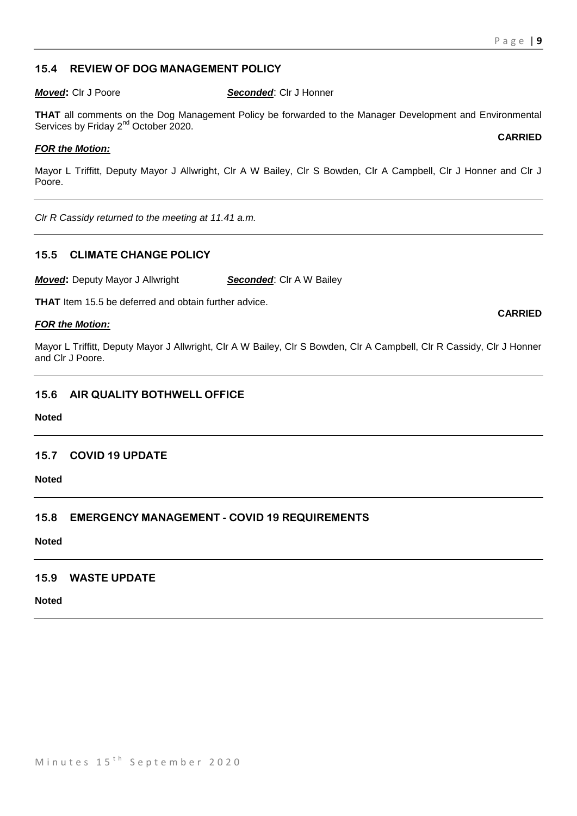### **15.4 REVIEW OF DOG MANAGEMENT POLICY**

*Moved***:** Clr J Poore *Seconded*: Clr J Honner

**THAT** all comments on the Dog Management Policy be forwarded to the Manager Development and Environmental Services by Friday 2<sup>nd</sup> October 2020.

#### *FOR the Motion:*

Mayor L Triffitt, Deputy Mayor J Allwright, Clr A W Bailey, Clr S Bowden, Clr A Campbell, Clr J Honner and Clr J Poore.

*Clr R Cassidy returned to the meeting at 11.41 a.m.*

#### **15.5 CLIMATE CHANGE POLICY**

*Moved:* Deputy Mayor J Allwright **Seconded:** Clr A W Bailey

**THAT** Item 15.5 be deferred and obtain further advice.

#### *FOR the Motion:*

Mayor L Triffitt, Deputy Mayor J Allwright, Clr A W Bailey, Clr S Bowden, Clr A Campbell, Clr R Cassidy, Clr J Honner and Clr J Poore.

#### **15.6 AIR QUALITY BOTHWELL OFFICE**

#### **Noted**

#### **15.7 COVID 19 UPDATE**

**Noted**

### **15.8 EMERGENCY MANAGEMENT - COVID 19 REQUIREMENTS**

**Noted**

#### **15.9 WASTE UPDATE**

**Noted**

#### **CARRIED**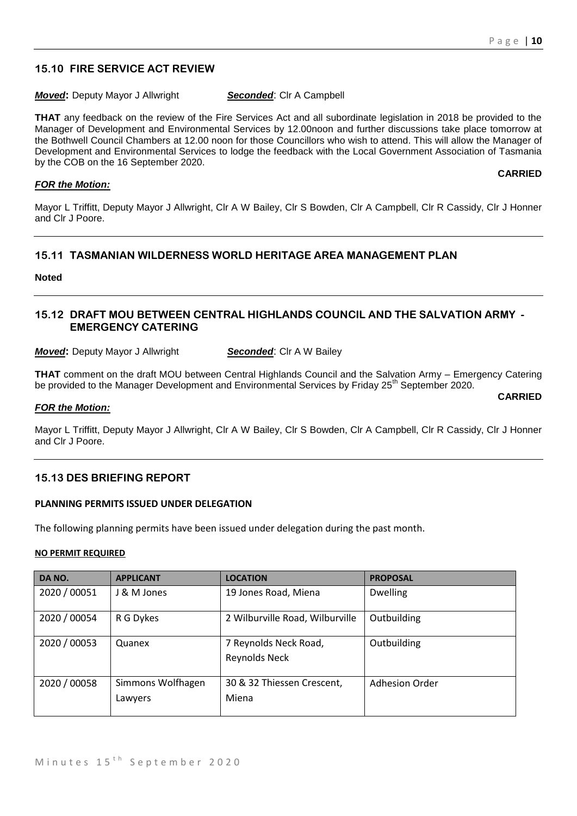# **15.10 FIRE SERVICE ACT REVIEW**

#### *Moved:* Deputy Mayor J Allwright **Seconded:** Clr A Campbell

**THAT** any feedback on the review of the Fire Services Act and all subordinate legislation in 2018 be provided to the Manager of Development and Environmental Services by 12.00noon and further discussions take place tomorrow at the Bothwell Council Chambers at 12.00 noon for those Councillors who wish to attend. This will allow the Manager of Development and Environmental Services to lodge the feedback with the Local Government Association of Tasmania by the COB on the 16 September 2020.

#### *FOR the Motion:*

Mayor L Triffitt, Deputy Mayor J Allwright, Clr A W Bailey, Clr S Bowden, Clr A Campbell, Clr R Cassidy, Clr J Honner and Clr J Poore.

#### **15.11 TASMANIAN WILDERNESS WORLD HERITAGE AREA MANAGEMENT PLAN**

**Noted**

#### **15.12 DRAFT MOU BETWEEN CENTRAL HIGHLANDS COUNCIL AND THE SALVATION ARMY - EMERGENCY CATERING**

**Moved:** Deputy Mayor J Allwright **Seconded:** Clr A W Bailey

**THAT** comment on the draft MOU between Central Highlands Council and the Salvation Army – Emergency Catering be provided to the Manager Development and Environmental Services by Friday 25<sup>th</sup> September 2020.

**CARRIED**

#### *FOR the Motion:*

Mayor L Triffitt, Deputy Mayor J Allwright, Clr A W Bailey, Clr S Bowden, Clr A Campbell, Clr R Cassidy, Clr J Honner and Clr J Poore.

#### **15.13 DES BRIEFING REPORT**

#### **PLANNING PERMITS ISSUED UNDER DELEGATION**

The following planning permits have been issued under delegation during the past month.

#### **NO PERMIT REQUIRED**

| DA NO.       | <b>APPLICANT</b>             | <b>LOCATION</b>                        | <b>PROPOSAL</b>       |
|--------------|------------------------------|----------------------------------------|-----------------------|
| 2020 / 00051 | J & M Jones                  | 19 Jones Road, Miena                   | <b>Dwelling</b>       |
| 2020 / 00054 | R G Dykes                    | 2 Wilburville Road, Wilburville        | Outbuilding           |
| 2020 / 00053 | Quanex                       | 7 Reynolds Neck Road,<br>Reynolds Neck | Outbuilding           |
| 2020 / 00058 | Simmons Wolfhagen<br>Lawyers | 30 & 32 Thiessen Crescent,<br>Miena    | <b>Adhesion Order</b> |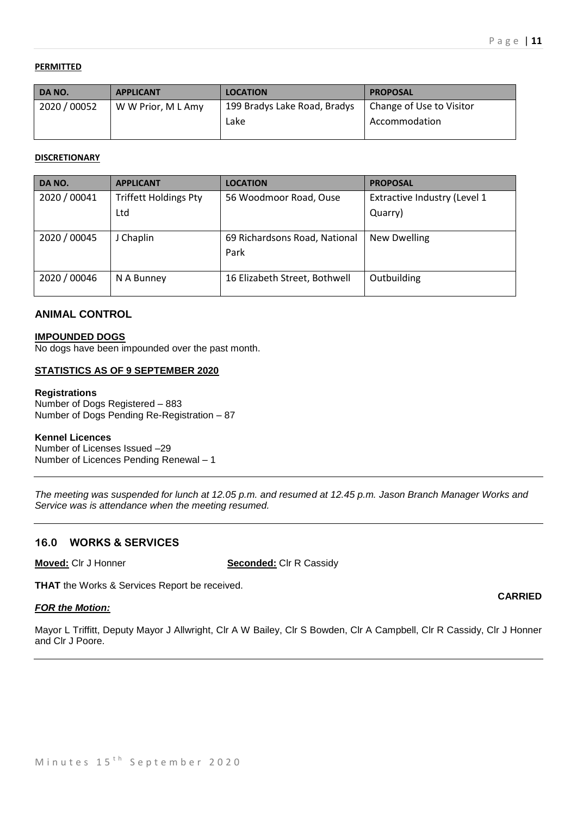#### **PERMITTED**

| DA NO.       | <b>APPLICANT</b>   | <b>LOCATION</b>              | <b>PROPOSAL</b>          |
|--------------|--------------------|------------------------------|--------------------------|
| 2020 / 00052 | W W Prior, M L Amy | 199 Bradys Lake Road, Bradys | Change of Use to Visitor |
|              |                    | Lake                         | Accommodation            |
|              |                    |                              |                          |

#### **DISCRETIONARY**

| DA NO.       | <b>APPLICANT</b>             | <b>LOCATION</b>               | <b>PROPOSAL</b>              |
|--------------|------------------------------|-------------------------------|------------------------------|
| 2020 / 00041 | <b>Triffett Holdings Pty</b> | 56 Woodmoor Road, Ouse        | Extractive Industry (Level 1 |
|              | Ltd                          |                               | Quarry)                      |
|              |                              |                               |                              |
| 2020 / 00045 | J Chaplin                    | 69 Richardsons Road, National | <b>New Dwelling</b>          |
|              |                              | Park                          |                              |
|              |                              |                               |                              |
| 2020 / 00046 | N A Bunney                   | 16 Elizabeth Street, Bothwell | Outbuilding                  |
|              |                              |                               |                              |

# **ANIMAL CONTROL**

#### **IMPOUNDED DOGS**

No dogs have been impounded over the past month.

#### **STATISTICS AS OF 9 SEPTEMBER 2020**

#### **Registrations**

Number of Dogs Registered – 883 Number of Dogs Pending Re-Registration – 87

#### **Kennel Licences**

Number of Licenses Issued –29 Number of Licences Pending Renewal – 1

*The meeting was suspended for lunch at 12.05 p.m. and resumed at 12.45 p.m. Jason Branch Manager Works and Service was is attendance when the meeting resumed.*

#### **16.0 WORKS & SERVICES**

**Moved:** Clr J Honner **Seconded:** Clr R Cassidy

**THAT** the Works & Services Report be received.

#### *FOR the Motion:*

Mayor L Triffitt, Deputy Mayor J Allwright, Clr A W Bailey, Clr S Bowden, Clr A Campbell, Clr R Cassidy, Clr J Honner and Clr J Poore.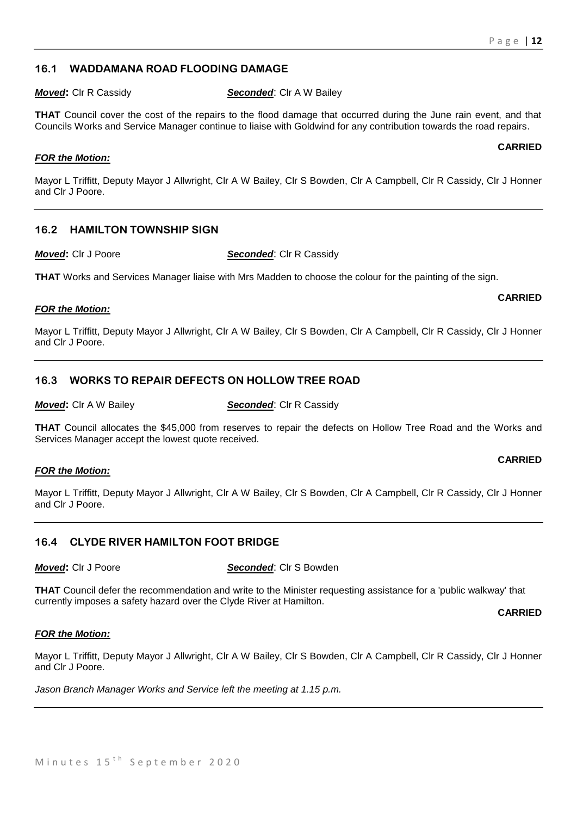#### **16.1 WADDAMANA ROAD FLOODING DAMAGE**

*Moved***:** Clr R Cassidy **Seconded**: Clr A W Bailey

**THAT** Council cover the cost of the repairs to the flood damage that occurred during the June rain event, and that Councils Works and Service Manager continue to liaise with Goldwind for any contribution towards the road repairs.

#### *FOR the Motion:*

Mayor L Triffitt, Deputy Mayor J Allwright, Clr A W Bailey, Clr S Bowden, Clr A Campbell, Clr R Cassidy, Clr J Honner and Clr J Poore.

### **16.2 HAMILTON TOWNSHIP SIGN**

*Moved***:** Clr J Poore *Seconded*: Clr R Cassidy

**THAT** Works and Services Manager liaise with Mrs Madden to choose the colour for the painting of the sign.

#### *FOR the Motion:*

Mayor L Triffitt, Deputy Mayor J Allwright, Clr A W Bailey, Clr S Bowden, Clr A Campbell, Clr R Cassidy, Clr J Honner and Clr J Poore.

### **16.3 WORKS TO REPAIR DEFECTS ON HOLLOW TREE ROAD**

*Moved:* Clr A W Bailey **Seconded:** Clr R Cassidy

**THAT** Council allocates the \$45,000 from reserves to repair the defects on Hollow Tree Road and the Works and Services Manager accept the lowest quote received.

#### *FOR the Motion:*

Mayor L Triffitt, Deputy Mayor J Allwright, Clr A W Bailey, Clr S Bowden, Clr A Campbell, Clr R Cassidy, Clr J Honner and Clr J Poore.

#### **16.4 CLYDE RIVER HAMILTON FOOT BRIDGE**

*Moved***:** Clr J Poore *Seconded*: Clr S Bowden

**THAT** Council defer the recommendation and write to the Minister requesting assistance for a 'public walkway' that currently imposes a safety hazard over the Clyde River at Hamilton.

**CARRIED**

#### *FOR the Motion:*

Mayor L Triffitt, Deputy Mayor J Allwright, Clr A W Bailey, Clr S Bowden, Clr A Campbell, Clr R Cassidy, Clr J Honner and Clr J Poore.

*Jason Branch Manager Works and Service left the meeting at 1.15 p.m.*

#### **CARRIED**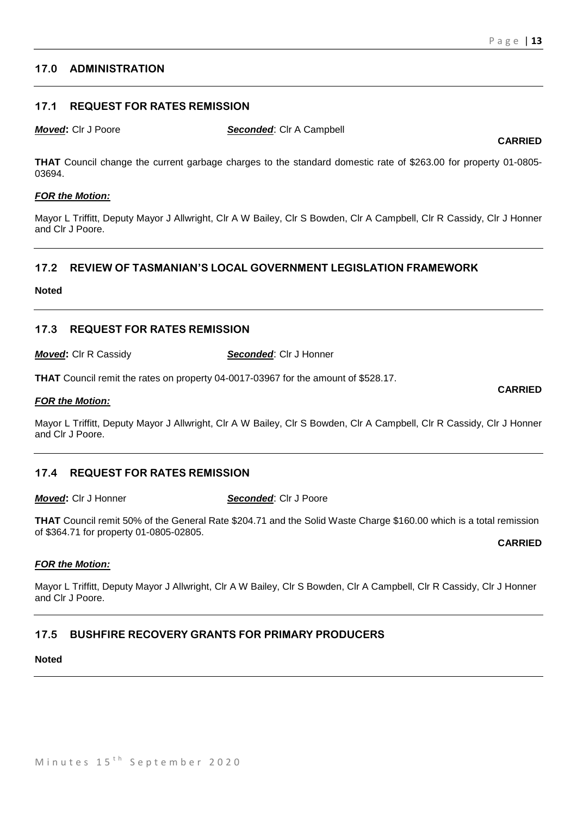### **17.0 ADMINISTRATION**

#### **17.1 REQUEST FOR RATES REMISSION**

*Moved***:** Clr J Poore *Seconded*: Clr A Campbell

**CARRIED**

**THAT** Council change the current garbage charges to the standard domestic rate of \$263.00 for property 01-0805- 03694.

#### *FOR the Motion:*

Mayor L Triffitt, Deputy Mayor J Allwright, Clr A W Bailey, Clr S Bowden, Clr A Campbell, Clr R Cassidy, Clr J Honner and Clr J Poore.

### **17.2 REVIEW OF TASMANIAN'S LOCAL GOVERNMENT LEGISLATION FRAMEWORK**

#### **Noted**

#### **17.3 REQUEST FOR RATES REMISSION**

*Moved***:** Clr R Cassidy *Seconded*: Clr J Honner

**THAT** Council remit the rates on property 04-0017-03967 for the amount of \$528.17.

#### *FOR the Motion:*

Mayor L Triffitt, Deputy Mayor J Allwright, Clr A W Bailey, Clr S Bowden, Clr A Campbell, Clr R Cassidy, Clr J Honner and Clr J Poore.

#### **17.4 REQUEST FOR RATES REMISSION**

*Moved***:** Clr J Honner *Seconded*: Clr J Poore

**THAT** Council remit 50% of the General Rate \$204.71 and the Solid Waste Charge \$160.00 which is a total remission of \$364.71 for property 01-0805-02805.

**CARRIED**

**CARRIED**

#### *FOR the Motion:*

Mayor L Triffitt, Deputy Mayor J Allwright, Clr A W Bailey, Clr S Bowden, Clr A Campbell, Clr R Cassidy, Clr J Honner and Clr J Poore.

### **17.5 BUSHFIRE RECOVERY GRANTS FOR PRIMARY PRODUCERS**

#### **Noted**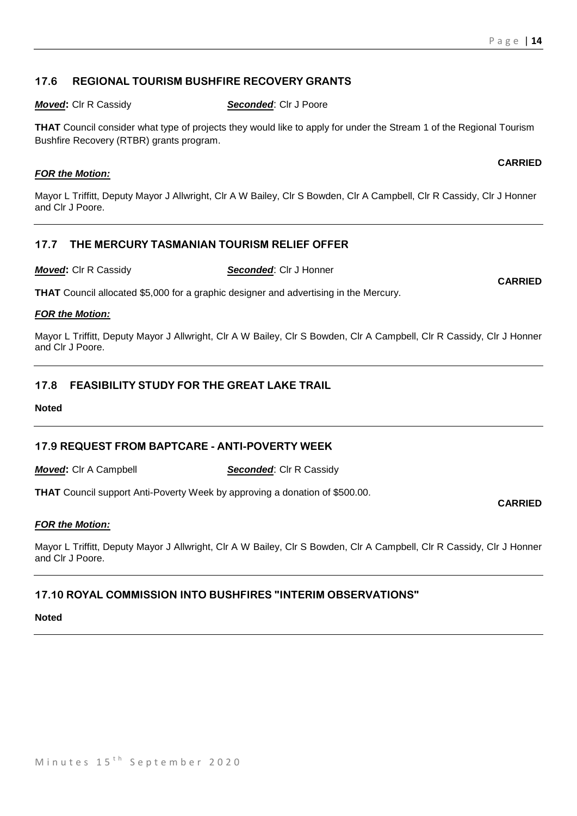# **17.6 REGIONAL TOURISM BUSHFIRE RECOVERY GRANTS**

*Moved***:** Clr R Cassidy *Seconded*: Clr J Poore

**THAT** Council consider what type of projects they would like to apply for under the Stream 1 of the Regional Tourism Bushfire Recovery (RTBR) grants program.

# *FOR the Motion:*

Mayor L Triffitt, Deputy Mayor J Allwright, Clr A W Bailey, Clr S Bowden, Clr A Campbell, Clr R Cassidy, Clr J Honner and Clr J Poore.

# **17.7 THE MERCURY TASMANIAN TOURISM RELIEF OFFER**

*Moved***:** Clr R Cassidy *Seconded*: Clr J Honner

**THAT** Council allocated \$5,000 for a graphic designer and advertising in the Mercury.

# *FOR the Motion:*

Mayor L Triffitt, Deputy Mayor J Allwright, Clr A W Bailey, Clr S Bowden, Clr A Campbell, Clr R Cassidy, Clr J Honner and Clr J Poore.

# **17.8 FEASIBILITY STUDY FOR THE GREAT LAKE TRAIL**

**Noted**

# **17.9 REQUEST FROM BAPTCARE - ANTI-POVERTY WEEK**

*Moved***:** Cir A Campbell **Seconded:** Cir R Cassidy

**THAT** Council support Anti-Poverty Week by approving a donation of \$500.00.

### *FOR the Motion:*

Mayor L Triffitt, Deputy Mayor J Allwright, Clr A W Bailey, Clr S Bowden, Clr A Campbell, Clr R Cassidy, Clr J Honner and Clr J Poore.

# **17.10 ROYAL COMMISSION INTO BUSHFIRES "INTERIM OBSERVATIONS"**

### **Noted**

#### **CARRIED**

**CARRIED**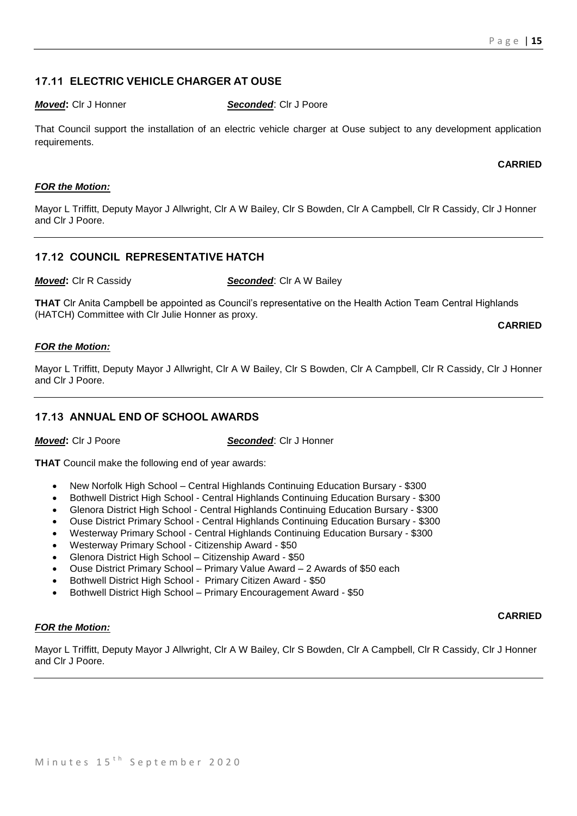# **17.11 ELECTRIC VEHICLE CHARGER AT OUSE**

#### *Moved***:** Clr J Honner *Seconded*: Clr J Poore

That Council support the installation of an electric vehicle charger at Ouse subject to any development application requirements.

#### **CARRIED**

#### *FOR the Motion:*

Mayor L Triffitt, Deputy Mayor J Allwright, Clr A W Bailey, Clr S Bowden, Clr A Campbell, Clr R Cassidy, Clr J Honner and Clr J Poore.

# **17.12 COUNCIL REPRESENTATIVE HATCH**

*Moved***:** Clr R Cassidy **Seconded:** Clr A W Bailey

**THAT** Clr Anita Campbell be appointed as Council's representative on the Health Action Team Central Highlands (HATCH) Committee with Clr Julie Honner as proxy.

**CARRIED**

#### *FOR the Motion:*

Mayor L Triffitt, Deputy Mayor J Allwright, Clr A W Bailey, Clr S Bowden, Clr A Campbell, Clr R Cassidy, Clr J Honner and Clr J Poore.

#### **17.13 ANNUAL END OF SCHOOL AWARDS**

*Moved***:** Clr J Poore *Seconded*: Clr J Honner

**THAT** Council make the following end of year awards:

- New Norfolk High School Central Highlands Continuing Education Bursary \$300
- Bothwell District High School Central Highlands Continuing Education Bursary \$300
- Glenora District High School Central Highlands Continuing Education Bursary \$300
- Ouse District Primary School Central Highlands Continuing Education Bursary \$300
- Westerway Primary School Central Highlands Continuing Education Bursary \$300
- Westerway Primary School Citizenship Award \$50
- Glenora District High School Citizenship Award \$50
- Ouse District Primary School Primary Value Award 2 Awards of \$50 each
- Bothwell District High School Primary Citizen Award \$50
- Bothwell District High School Primary Encouragement Award \$50

#### *FOR the Motion:*

**CARRIED**

Mayor L Triffitt, Deputy Mayor J Allwright, Clr A W Bailey, Clr S Bowden, Clr A Campbell, Clr R Cassidy, Clr J Honner and Clr J Poore.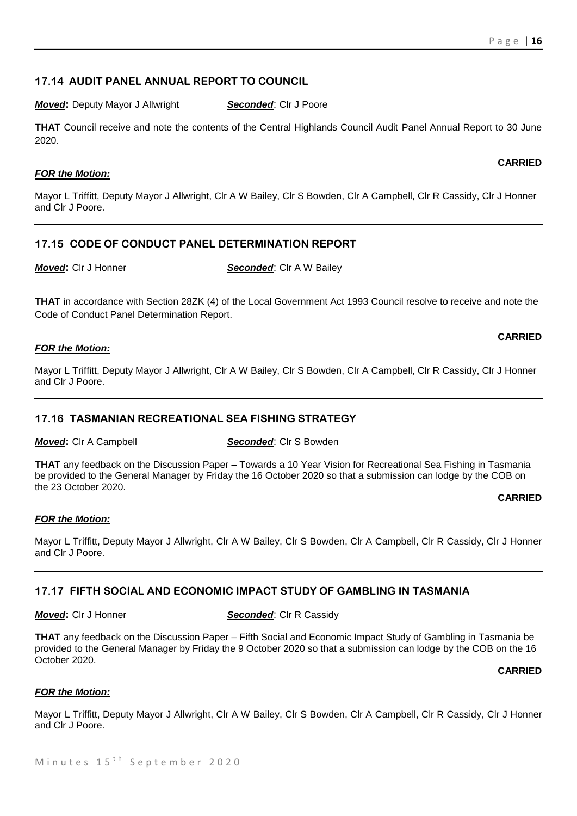### **17.14 AUDIT PANEL ANNUAL REPORT TO COUNCIL**

*Moved:* Deputy Mayor J Allwright **Seconded:** Clr J Poore

**THAT** Council receive and note the contents of the Central Highlands Council Audit Panel Annual Report to 30 June 2020.

#### *FOR the Motion:*

Mayor L Triffitt, Deputy Mayor J Allwright, Clr A W Bailey, Clr S Bowden, Clr A Campbell, Clr R Cassidy, Clr J Honner and Clr J Poore.

#### **17.15 CODE OF CONDUCT PANEL DETERMINATION REPORT**

*Moved***:** Cir J Honner **Seconded**: Cir A W Bailey

**THAT** in accordance with Section 28ZK (4) of the Local Government Act 1993 Council resolve to receive and note the Code of Conduct Panel Determination Report.

#### *FOR the Motion:*

Mayor L Triffitt, Deputy Mayor J Allwright, Clr A W Bailey, Clr S Bowden, Clr A Campbell, Clr R Cassidy, Clr J Honner and Clr J Poore.

#### **17.16 TASMANIAN RECREATIONAL SEA FISHING STRATEGY**

*Moved***:** Cir A Campbell *Seconded*: Cir S Bowden

**THAT** any feedback on the Discussion Paper – Towards a 10 Year Vision for Recreational Sea Fishing in Tasmania be provided to the General Manager by Friday the 16 October 2020 so that a submission can lodge by the COB on the 23 October 2020.

**CARRIED**

**CARRIED**

#### *FOR the Motion:*

Mayor L Triffitt, Deputy Mayor J Allwright, Clr A W Bailey, Clr S Bowden, Clr A Campbell, Clr R Cassidy, Clr J Honner and Clr J Poore.

#### **17.17 FIFTH SOCIAL AND ECONOMIC IMPACT STUDY OF GAMBLING IN TASMANIA**

#### *Moved***: CIr J Honner <b>Seconded**: CIr R Cassidy

**THAT** any feedback on the Discussion Paper – Fifth Social and Economic Impact Study of Gambling in Tasmania be provided to the General Manager by Friday the 9 October 2020 so that a submission can lodge by the COB on the 16 October 2020.

**CARRIED**

#### *FOR the Motion:*

Mayor L Triffitt, Deputy Mayor J Allwright, Clr A W Bailey, Clr S Bowden, Clr A Campbell, Clr R Cassidy, Clr J Honner and Clr J Poore.